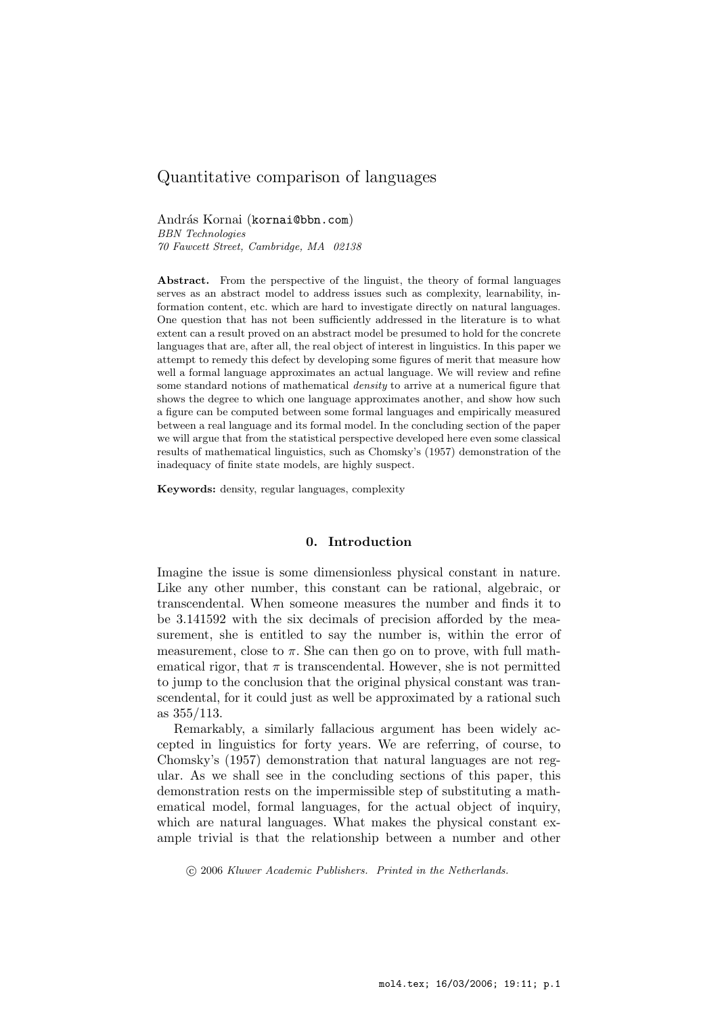# Quantitative comparison of languages

András Kornai (kornai@bbn.com) BBN Technologies 70 Fawcett Street, Cambridge, MA 02138

Abstract. From the perspective of the linguist, the theory of formal languages serves as an abstract model to address issues such as complexity, learnability, information content, etc. which are hard to investigate directly on natural languages. One question that has not been sufficiently addressed in the literature is to what extent can a result proved on an abstract model be presumed to hold for the concrete languages that are, after all, the real object of interest in linguistics. In this paper we attempt to remedy this defect by developing some figures of merit that measure how well a formal language approximates an actual language. We will review and refine some standard notions of mathematical *density* to arrive at a numerical figure that shows the degree to which one language approximates another, and show how such a figure can be computed between some formal languages and empirically measured between a real language and its formal model. In the concluding section of the paper we will argue that from the statistical perspective developed here even some classical results of mathematical linguistics, such as Chomsky's (1957) demonstration of the inadequacy of finite state models, are highly suspect.

Keywords: density, regular languages, complexity

# 0. Introduction

Imagine the issue is some dimensionless physical constant in nature. Like any other number, this constant can be rational, algebraic, or transcendental. When someone measures the number and finds it to be 3.141592 with the six decimals of precision afforded by the measurement, she is entitled to say the number is, within the error of measurement, close to  $\pi$ . She can then go on to prove, with full mathematical rigor, that  $\pi$  is transcendental. However, she is not permitted to jump to the conclusion that the original physical constant was transcendental, for it could just as well be approximated by a rational such as 355/113.

Remarkably, a similarly fallacious argument has been widely accepted in linguistics for forty years. We are referring, of course, to Chomsky's (1957) demonstration that natural languages are not regular. As we shall see in the concluding sections of this paper, this demonstration rests on the impermissible step of substituting a mathematical model, formal languages, for the actual object of inquiry, which are natural languages. What makes the physical constant example trivial is that the relationship between a number and other

c 2006 Kluwer Academic Publishers. Printed in the Netherlands.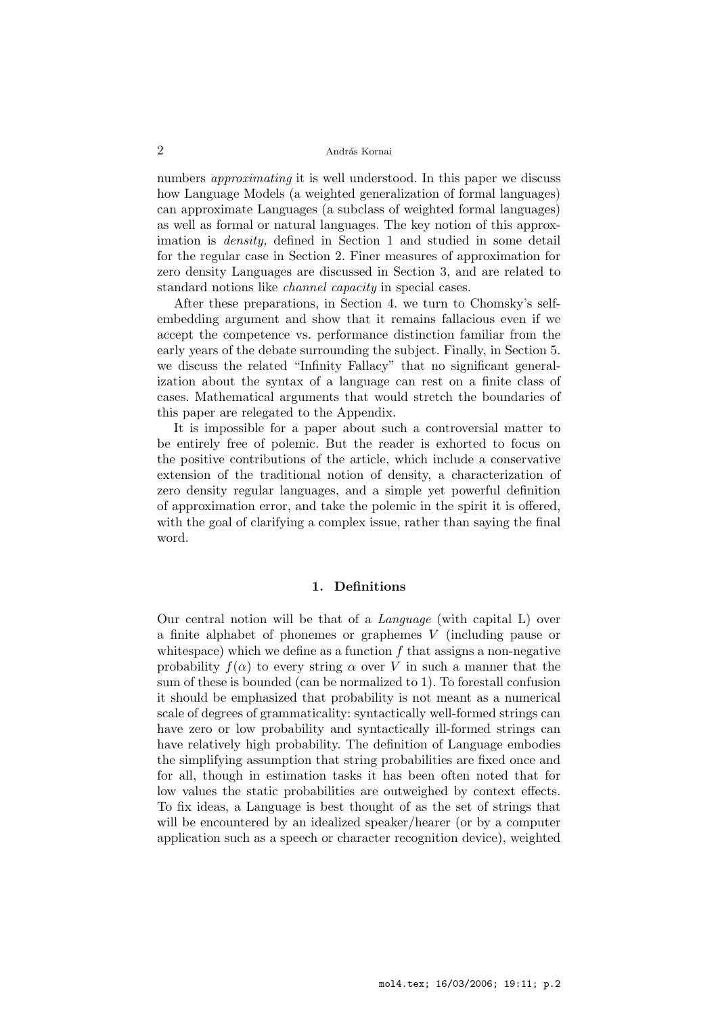numbers approximating it is well understood. In this paper we discuss how Language Models (a weighted generalization of formal languages) can approximate Languages (a subclass of weighted formal languages) as well as formal or natural languages. The key notion of this approximation is density, defined in Section 1 and studied in some detail for the regular case in Section 2. Finer measures of approximation for zero density Languages are discussed in Section 3, and are related to standard notions like channel capacity in special cases.

After these preparations, in Section 4. we turn to Chomsky's selfembedding argument and show that it remains fallacious even if we accept the competence vs. performance distinction familiar from the early years of the debate surrounding the subject. Finally, in Section 5. we discuss the related "Infinity Fallacy" that no significant generalization about the syntax of a language can rest on a finite class of cases. Mathematical arguments that would stretch the boundaries of this paper are relegated to the Appendix.

It is impossible for a paper about such a controversial matter to be entirely free of polemic. But the reader is exhorted to focus on the positive contributions of the article, which include a conservative extension of the traditional notion of density, a characterization of zero density regular languages, and a simple yet powerful definition of approximation error, and take the polemic in the spirit it is offered, with the goal of clarifying a complex issue, rather than saying the final word.

#### 1. Definitions

Our central notion will be that of a Language (with capital L) over a finite alphabet of phonemes or graphemes V (including pause or white space) which we define as a function  $f$  that assigns a non-negative probability  $f(\alpha)$  to every string  $\alpha$  over V in such a manner that the sum of these is bounded (can be normalized to 1). To forestall confusion it should be emphasized that probability is not meant as a numerical scale of degrees of grammaticality: syntactically well-formed strings can have zero or low probability and syntactically ill-formed strings can have relatively high probability. The definition of Language embodies the simplifying assumption that string probabilities are fixed once and for all, though in estimation tasks it has been often noted that for low values the static probabilities are outweighed by context effects. To fix ideas, a Language is best thought of as the set of strings that will be encountered by an idealized speaker/hearer (or by a computer application such as a speech or character recognition device), weighted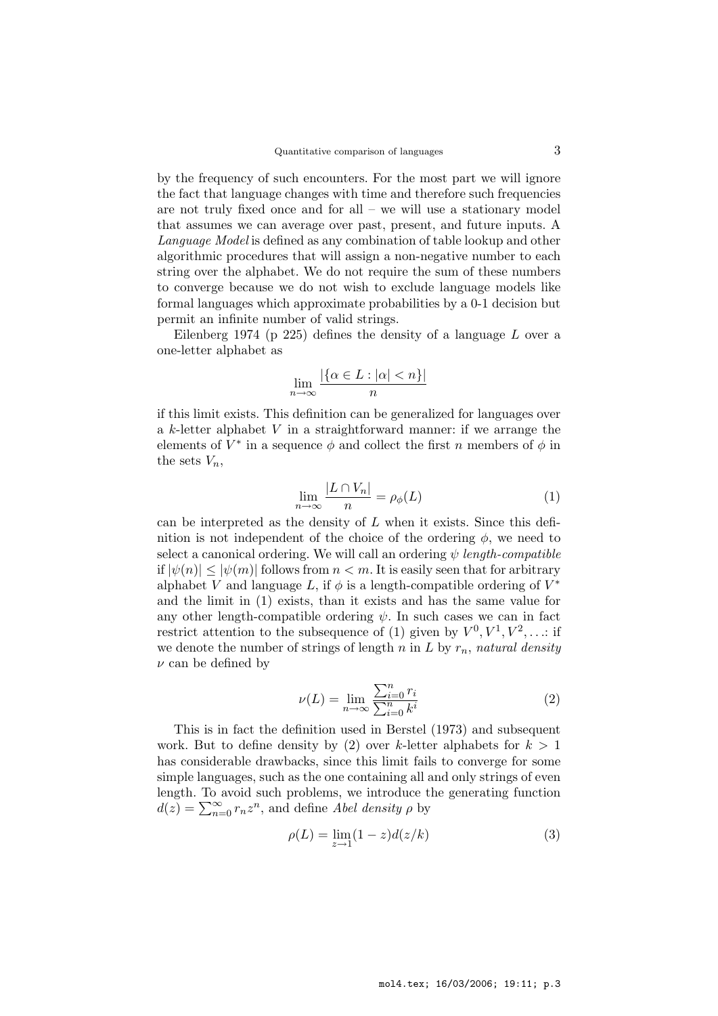by the frequency of such encounters. For the most part we will ignore the fact that language changes with time and therefore such frequencies are not truly fixed once and for all – we will use a stationary model that assumes we can average over past, present, and future inputs. A Language Model is defined as any combination of table lookup and other algorithmic procedures that will assign a non-negative number to each string over the alphabet. We do not require the sum of these numbers to converge because we do not wish to exclude language models like formal languages which approximate probabilities by a 0-1 decision but permit an infinite number of valid strings.

Eilenberg 1974 (p 225) defines the density of a language L over a one-letter alphabet as

$$
\lim_{n \to \infty} \frac{|\{\alpha \in L : |\alpha| < n\}|}{n}
$$

if this limit exists. This definition can be generalized for languages over a k-letter alphabet V in a straightforward manner: if we arrange the elements of  $V^*$  in a sequence  $\phi$  and collect the first n members of  $\phi$  in the sets  $V_n$ ,

$$
\lim_{n \to \infty} \frac{|L \cap V_n|}{n} = \rho_{\phi}(L) \tag{1}
$$

can be interpreted as the density of  $L$  when it exists. Since this definition is not independent of the choice of the ordering  $\phi$ , we need to select a canonical ordering. We will call an ordering  $\psi$  length-compatible if  $|\psi(n)| \leq |\psi(m)|$  follows from  $n < m$ . It is easily seen that for arbitrary alphabet V and language L, if  $\phi$  is a length-compatible ordering of  $V^*$ and the limit in (1) exists, than it exists and has the same value for any other length-compatible ordering  $\psi$ . In such cases we can in fact restrict attention to the subsequence of (1) given by  $V^0, V^1, V^2, \ldots$  if we denote the number of strings of length n in L by  $r_n$ , natural density  $\nu$  can be defined by

$$
\nu(L) = \lim_{n \to \infty} \frac{\sum_{i=0}^{n} r_i}{\sum_{i=0}^{n} k^i}
$$
\n(2)

This is in fact the definition used in Berstel (1973) and subsequent work. But to define density by (2) over k-letter alphabets for  $k > 1$ has considerable drawbacks, since this limit fails to converge for some simple languages, such as the one containing all and only strings of even length. To avoid such problems, we introduce the generating function  $d(z) = \sum_{n=0}^{\infty} r_n z^n$ , and define *Abel density*  $\rho$  by

$$
\rho(L) = \lim_{z \to 1} (1 - z)d(z/k)
$$
 (3)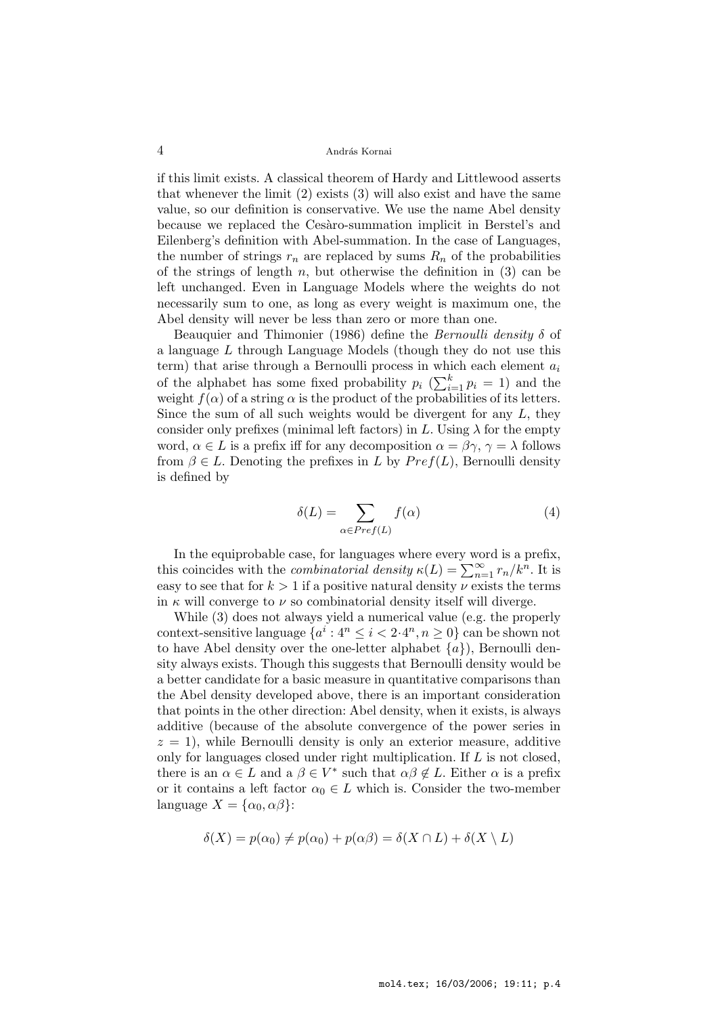if this limit exists. A classical theorem of Hardy and Littlewood asserts that whenever the limit  $(2)$  exists  $(3)$  will also exist and have the same value, so our definition is conservative. We use the name Abel density because we replaced the Cesaro-summation implicit in Berstel's and Eilenberg's definition with Abel-summation. In the case of Languages, the number of strings  $r_n$  are replaced by sums  $R_n$  of the probabilities of the strings of length  $n$ , but otherwise the definition in (3) can be left unchanged. Even in Language Models where the weights do not necessarily sum to one, as long as every weight is maximum one, the Abel density will never be less than zero or more than one.

Beauquier and Thimonier (1986) define the Bernoulli density  $\delta$  of a language L through Language Models (though they do not use this term) that arise through a Bernoulli process in which each element  $a_i$ of the alphabet has some fixed probability  $p_i$  ( $\sum_{i=1}^{k} p_i = 1$ ) and the weight  $f(\alpha)$  of a string  $\alpha$  is the product of the probabilities of its letters. Since the sum of all such weights would be divergent for any  $L$ , they consider only prefixes (minimal left factors) in L. Using  $\lambda$  for the empty word,  $\alpha \in L$  is a prefix iff for any decomposition  $\alpha = \beta \gamma$ ,  $\gamma = \lambda$  follows from  $\beta \in L$ . Denoting the prefixes in L by  $Pref(L)$ , Bernoulli density is defined by

$$
\delta(L) = \sum_{\alpha \in Pref(L)} f(\alpha) \tag{4}
$$

In the equiprobable case, for languages where every word is a prefix, this coincides with the *combinatorial density*  $\kappa(L) = \sum_{n=1}^{\infty} r_n / k^n$ . It is easy to see that for  $k > 1$  if a positive natural density  $\nu$  exists the terms in  $\kappa$  will converge to  $\nu$  so combinatorial density itself will diverge.

While (3) does not always yield a numerical value (e.g. the properly context-sensitive language  $\{a^i: 4^n \leq i < 2 \cdot 4^n, n \geq 0\}$  can be shown not to have Abel density over the one-letter alphabet  $\{a\}$ , Bernoulli density always exists. Though this suggests that Bernoulli density would be a better candidate for a basic measure in quantitative comparisons than the Abel density developed above, there is an important consideration that points in the other direction: Abel density, when it exists, is always additive (because of the absolute convergence of the power series in  $z = 1$ , while Bernoulli density is only an exterior measure, additive only for languages closed under right multiplication. If L is not closed, there is an  $\alpha \in L$  and  $\alpha \beta \in V^*$  such that  $\alpha \beta \notin L$ . Either  $\alpha$  is a prefix or it contains a left factor  $\alpha_0 \in L$  which is. Consider the two-member language  $X = {\alpha_0, \alpha \beta}$ :

$$
\delta(X) = p(\alpha_0) \neq p(\alpha_0) + p(\alpha \beta) = \delta(X \cap L) + \delta(X \setminus L)
$$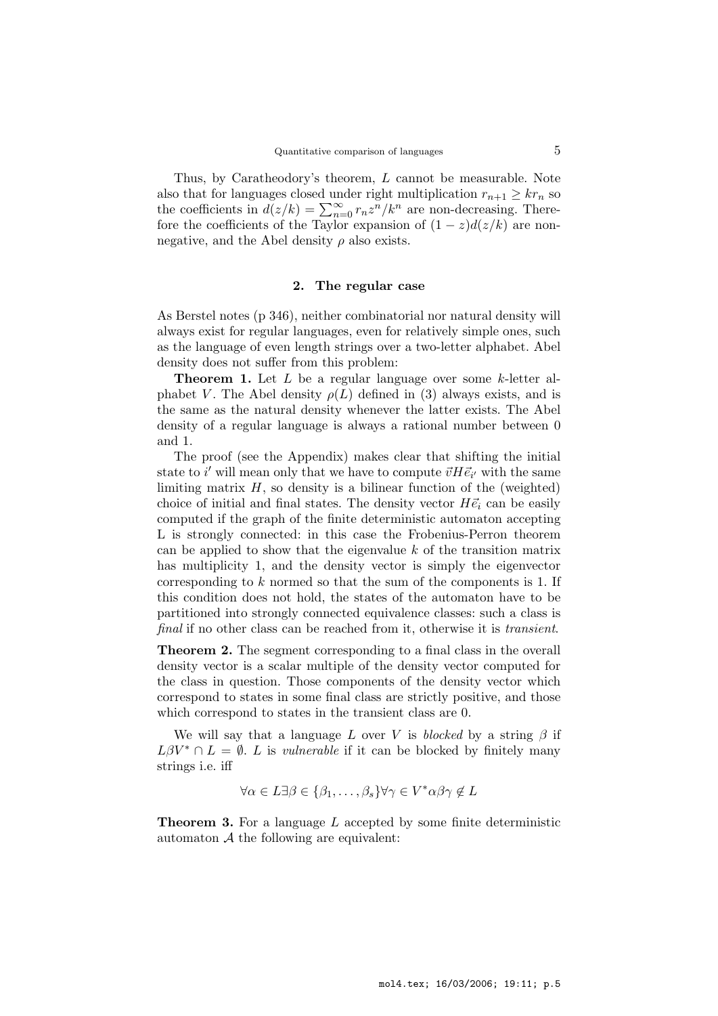Thus, by Caratheodory's theorem, L cannot be measurable. Note also that for languages closed under right multiplication  $r_{n+1} \geq kr_n$  so the coefficients in  $d(z/k) = \sum_{n=0}^{\infty} r_n z^n / k^n$  are non-decreasing. Therefore the coefficients of the Taylor expansion of  $(1 - z)d(z/k)$  are nonnegative, and the Abel density  $\rho$  also exists.

# 2. The regular case

As Berstel notes (p 346), neither combinatorial nor natural density will always exist for regular languages, even for relatively simple ones, such as the language of even length strings over a two-letter alphabet. Abel density does not suffer from this problem:

**Theorem 1.** Let  $L$  be a regular language over some  $k$ -letter alphabet V. The Abel density  $\rho(L)$  defined in (3) always exists, and is the same as the natural density whenever the latter exists. The Abel density of a regular language is always a rational number between 0 and 1.

The proof (see the Appendix) makes clear that shifting the initial state to i' will mean only that we have to compute  $\vec{v}H\vec{e}_{i'}$  with the same limiting matrix  $H$ , so density is a bilinear function of the (weighted) choice of initial and final states. The density vector  $H\vec{e}_i$  can be easily computed if the graph of the finite deterministic automaton accepting L is strongly connected: in this case the Frobenius-Perron theorem can be applied to show that the eigenvalue  $k$  of the transition matrix has multiplicity 1, and the density vector is simply the eigenvector corresponding to k normed so that the sum of the components is 1. If this condition does not hold, the states of the automaton have to be partitioned into strongly connected equivalence classes: such a class is final if no other class can be reached from it, otherwise it is *transient*.

Theorem 2. The segment corresponding to a final class in the overall density vector is a scalar multiple of the density vector computed for the class in question. Those components of the density vector which correspond to states in some final class are strictly positive, and those which correspond to states in the transient class are 0.

We will say that a language L over V is blocked by a string  $\beta$  if  $L\beta V^* \cap L = \emptyset$ . L is vulnerable if it can be blocked by finitely many strings i.e. iff

$$
\forall \alpha \in L \exists \beta \in \{\beta_1, \dots, \beta_s\} \forall \gamma \in V^* \alpha \beta \gamma \notin L
$$

**Theorem 3.** For a language  $L$  accepted by some finite deterministic automaton  $A$  the following are equivalent: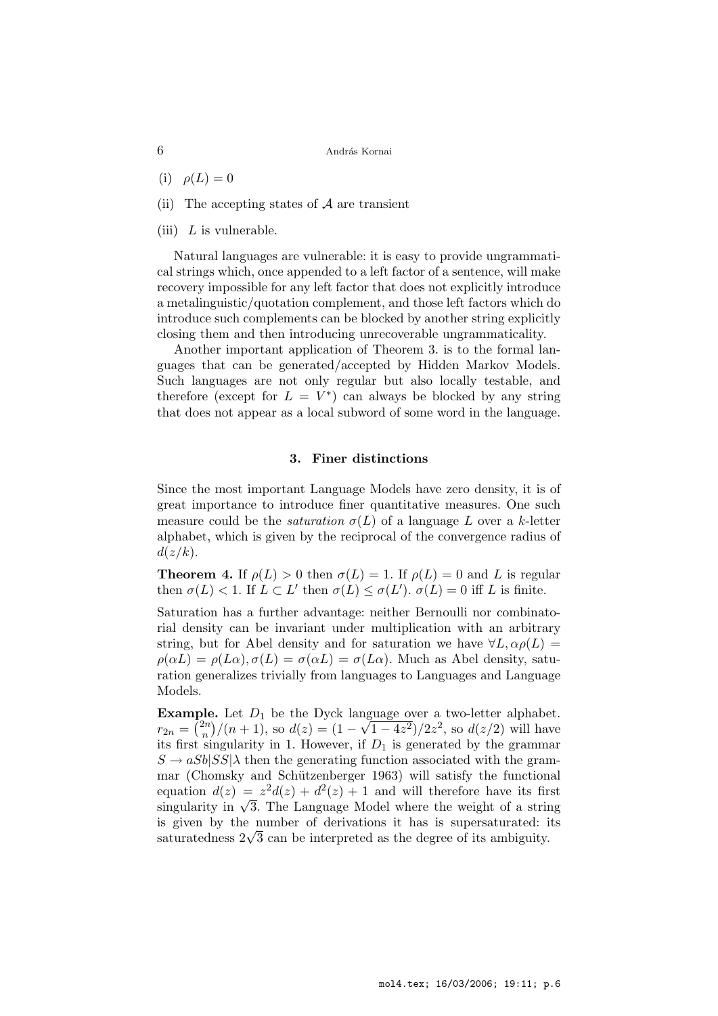6 Andr´as Kornai

- (i)  $\rho(L) = 0$
- (ii) The accepting states of  $A$  are transient
- (iii)  $L$  is vulnerable.

Natural languages are vulnerable: it is easy to provide ungrammatical strings which, once appended to a left factor of a sentence, will make recovery impossible for any left factor that does not explicitly introduce a metalinguistic/quotation complement, and those left factors which do introduce such complements can be blocked by another string explicitly closing them and then introducing unrecoverable ungrammaticality.

Another important application of Theorem 3. is to the formal languages that can be generated/accepted by Hidden Markov Models. Such languages are not only regular but also locally testable, and therefore (except for  $L = V^*$ ) can always be blocked by any string that does not appear as a local subword of some word in the language.

### 3. Finer distinctions

Since the most important Language Models have zero density, it is of great importance to introduce finer quantitative measures. One such measure could be the *saturation*  $\sigma(L)$  of a language L over a k-letter alphabet, which is given by the reciprocal of the convergence radius of  $d(z/k)$ .

**Theorem 4.** If  $\rho(L) > 0$  then  $\sigma(L) = 1$ . If  $\rho(L) = 0$  and L is regular then  $\sigma(L) < 1$ . If  $L \subset L'$  then  $\sigma(L) \leq \sigma(L')$ .  $\sigma(L) = 0$  iff L is finite.

Saturation has a further advantage: neither Bernoulli nor combinatorial density can be invariant under multiplication with an arbitrary string, but for Abel density and for saturation we have  $\forall L, \alpha \rho(L) =$  $\rho(\alpha L) = \rho(L\alpha), \sigma(L) = \sigma(\alpha L) = \sigma(L\alpha)$ . Much as Abel density, saturation generalizes trivially from languages to Languages and Language Models.

**Example.** Let  $D_1$  be the Dyck language over a two-letter alphabet.  $r_{2n}=\bar{ \binom{2n}{n}}$  ${n \choose n}/(n+1)$ , so  $d(z) = (1 -$ √  $\sqrt{1-4z^2}/2z^2$ , so  $d(z/2)$  will have its first singularity in 1. However, if  $D_1$  is generated by the grammar  $S \to aSb|SS|\lambda$  then the generating function associated with the grammar (Chomsky and Schützenberger 1963) will satisfy the functional equation  $d(z) = z^2 d(z) + d^2(z) + 1$  and will therefore have its first equation  $a(z) = z \cdot a(z) + a \cdot (z) + 1$  and will therefore have its first<br>singularity in  $\sqrt{3}$ . The Language Model where the weight of a string is given by the number of derivations it has is supersaturated: its is given by the number of derivations it has is supersaturated: is aturatedness  $2\sqrt{3}$  can be interpreted as the degree of its ambiguity.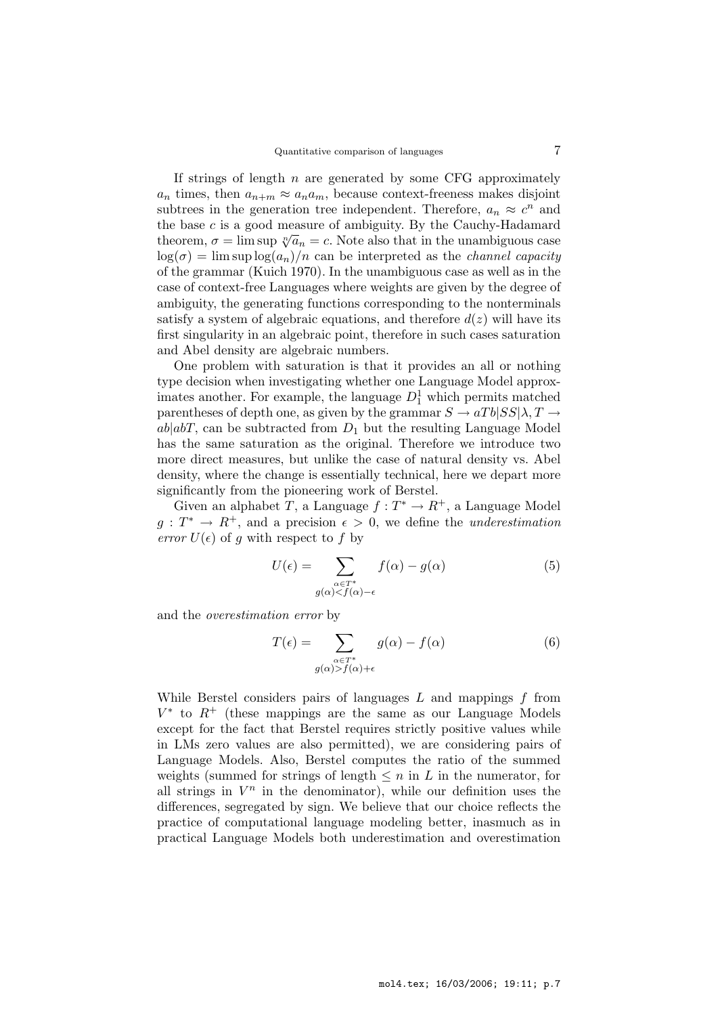If strings of length  $n$  are generated by some CFG approximately  $a_n$  times, then  $a_{n+m} \approx a_n a_m$ , because context-freeness makes disjoint subtrees in the generation tree independent. Therefore,  $a_n \approx c^n$  and the base  $c$  is a good measure of ambiguity. By the Cauchy-Hadamard theorem,  $\sigma = \limsup \sqrt[n]{a_n} = c$ . Note also that in the unambiguous case  $log(\sigma) = \limsup log(a_n)/n$  can be interpreted as the *channel capacity* of the grammar (Kuich 1970). In the unambiguous case as well as in the case of context-free Languages where weights are given by the degree of ambiguity, the generating functions corresponding to the nonterminals satisfy a system of algebraic equations, and therefore  $d(z)$  will have its first singularity in an algebraic point, therefore in such cases saturation and Abel density are algebraic numbers.

One problem with saturation is that it provides an all or nothing type decision when investigating whether one Language Model approximates another. For example, the language  $D_1^1$  which permits matched parentheses of depth one, as given by the grammar  $S \to aTb|SS|\lambda, T \to aTb|SS$  $ab|abT$ , can be subtracted from  $D_1$  but the resulting Language Model has the same saturation as the original. Therefore we introduce two more direct measures, but unlike the case of natural density vs. Abel density, where the change is essentially technical, here we depart more significantly from the pioneering work of Berstel.

Given an alphabet T, a Language  $f: T^* \to R^+$ , a Language Model  $g: T^* \to R^+$ , and a precision  $\epsilon > 0$ , we define the *underestimation* error  $U(\epsilon)$  of q with respect to f by

$$
U(\epsilon) = \sum_{\substack{\alpha \in T^* \\ g(\alpha) < f(\alpha) - \epsilon}} f(\alpha) - g(\alpha) \tag{5}
$$

and the overestimation error by

$$
T(\epsilon) = \sum_{\substack{\alpha \in T^* \\ g(\alpha) > f(\alpha) + \epsilon}} g(\alpha) - f(\alpha) \tag{6}
$$

While Berstel considers pairs of languages  $L$  and mappings  $f$  from  $V^*$  to  $R^+$  (these mappings are the same as our Language Models except for the fact that Berstel requires strictly positive values while in LMs zero values are also permitted), we are considering pairs of Language Models. Also, Berstel computes the ratio of the summed weights (summed for strings of length  $\leq n$  in L in the numerator, for all strings in  $V^n$  in the denominator), while our definition uses the differences, segregated by sign. We believe that our choice reflects the practice of computational language modeling better, inasmuch as in practical Language Models both underestimation and overestimation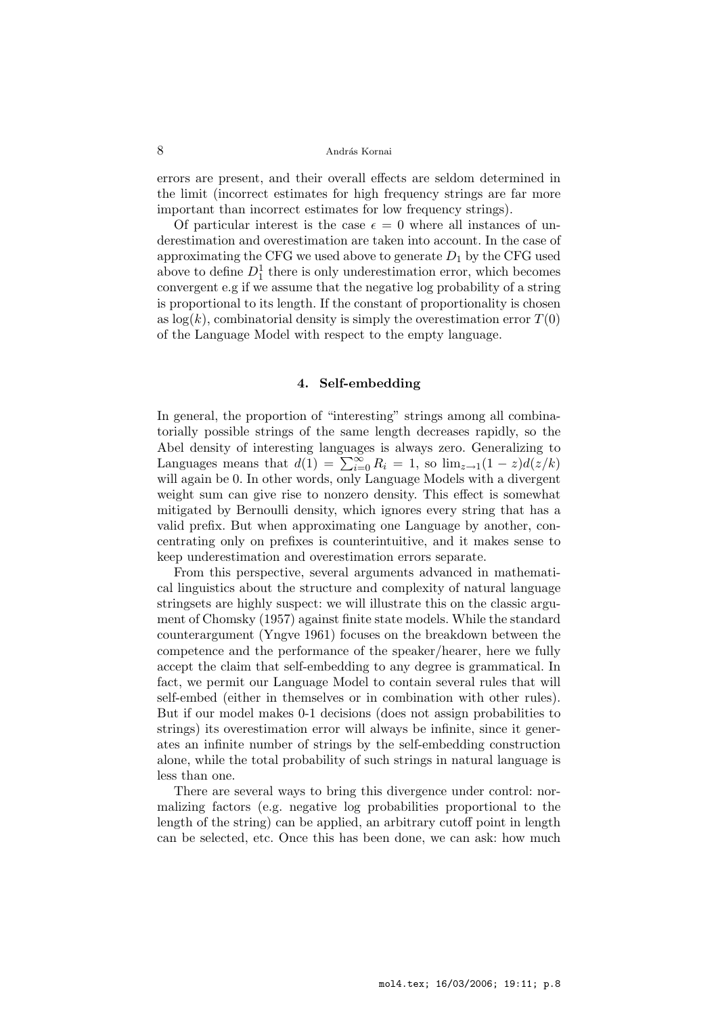errors are present, and their overall effects are seldom determined in the limit (incorrect estimates for high frequency strings are far more important than incorrect estimates for low frequency strings).

Of particular interest is the case  $\epsilon = 0$  where all instances of underestimation and overestimation are taken into account. In the case of approximating the CFG we used above to generate  $D_1$  by the CFG used above to define  $D_1^1$  there is only underestimation error, which becomes convergent e.g if we assume that the negative log probability of a string is proportional to its length. If the constant of proportionality is chosen as  $log(k)$ , combinatorial density is simply the overestimation error  $T(0)$ of the Language Model with respect to the empty language.

## 4. Self-embedding

In general, the proportion of "interesting" strings among all combinatorially possible strings of the same length decreases rapidly, so the Abel density of interesting languages is always zero. Generalizing to Languages means that  $d(1) = \sum_{i=0}^{\infty} R_i = 1$ , so  $\lim_{z \to 1} (1 - z) d(z/k)$ will again be 0. In other words, only Language Models with a divergent weight sum can give rise to nonzero density. This effect is somewhat mitigated by Bernoulli density, which ignores every string that has a valid prefix. But when approximating one Language by another, concentrating only on prefixes is counterintuitive, and it makes sense to keep underestimation and overestimation errors separate.

From this perspective, several arguments advanced in mathematical linguistics about the structure and complexity of natural language stringsets are highly suspect: we will illustrate this on the classic argument of Chomsky (1957) against finite state models. While the standard counterargument (Yngve 1961) focuses on the breakdown between the competence and the performance of the speaker/hearer, here we fully accept the claim that self-embedding to any degree is grammatical. In fact, we permit our Language Model to contain several rules that will self-embed (either in themselves or in combination with other rules). But if our model makes 0-1 decisions (does not assign probabilities to strings) its overestimation error will always be infinite, since it generates an infinite number of strings by the self-embedding construction alone, while the total probability of such strings in natural language is less than one.

There are several ways to bring this divergence under control: normalizing factors (e.g. negative log probabilities proportional to the length of the string) can be applied, an arbitrary cutoff point in length can be selected, etc. Once this has been done, we can ask: how much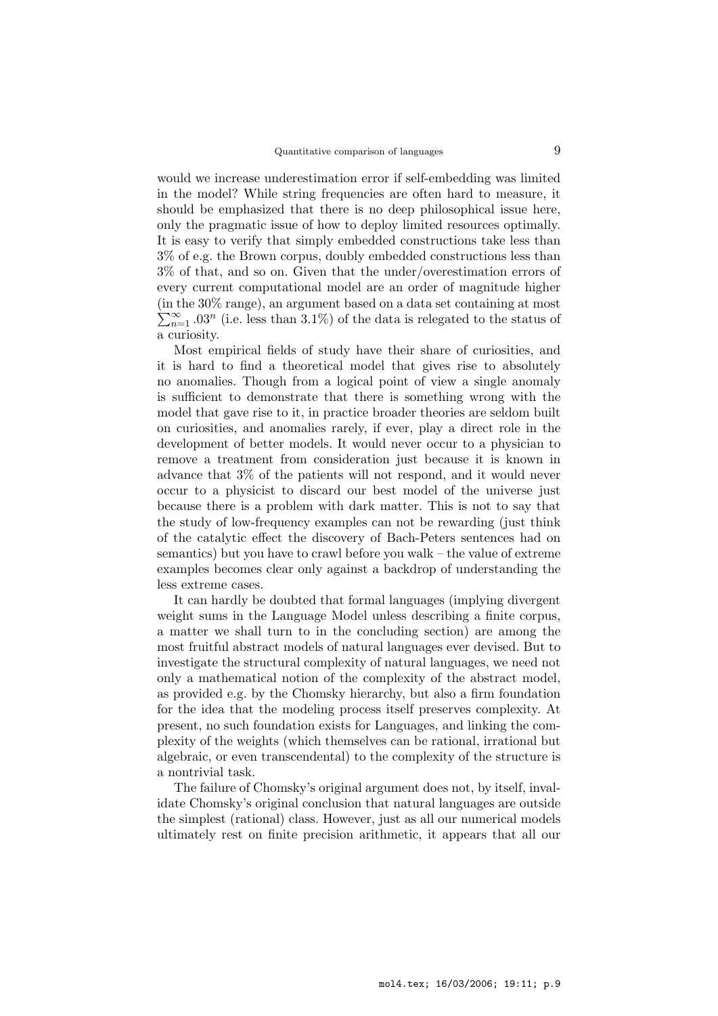would we increase underestimation error if self-embedding was limited in the model? While string frequencies are often hard to measure, it should be emphasized that there is no deep philosophical issue here, only the pragmatic issue of how to deploy limited resources optimally. It is easy to verify that simply embedded constructions take less than 3% of e.g. the Brown corpus, doubly embedded constructions less than 3% of that, and so on. Given that the under/overestimation errors of every current computational model are an order of magnitude higher (in the 30% range), an argument based on a data set containing at most  $\sum_{n=1}^{\infty}$  .03<sup>n</sup> (i.e. less than 3.1%) of the data is relegated to the status of a curiosity.

Most empirical fields of study have their share of curiosities, and it is hard to find a theoretical model that gives rise to absolutely no anomalies. Though from a logical point of view a single anomaly is sufficient to demonstrate that there is something wrong with the model that gave rise to it, in practice broader theories are seldom built on curiosities, and anomalies rarely, if ever, play a direct role in the development of better models. It would never occur to a physician to remove a treatment from consideration just because it is known in advance that 3% of the patients will not respond, and it would never occur to a physicist to discard our best model of the universe just because there is a problem with dark matter. This is not to say that the study of low-frequency examples can not be rewarding (just think of the catalytic effect the discovery of Bach-Peters sentences had on semantics) but you have to crawl before you walk – the value of extreme examples becomes clear only against a backdrop of understanding the less extreme cases.

It can hardly be doubted that formal languages (implying divergent weight sums in the Language Model unless describing a finite corpus, a matter we shall turn to in the concluding section) are among the most fruitful abstract models of natural languages ever devised. But to investigate the structural complexity of natural languages, we need not only a mathematical notion of the complexity of the abstract model, as provided e.g. by the Chomsky hierarchy, but also a firm foundation for the idea that the modeling process itself preserves complexity. At present, no such foundation exists for Languages, and linking the complexity of the weights (which themselves can be rational, irrational but algebraic, or even transcendental) to the complexity of the structure is a nontrivial task.

The failure of Chomsky's original argument does not, by itself, invalidate Chomsky's original conclusion that natural languages are outside the simplest (rational) class. However, just as all our numerical models ultimately rest on finite precision arithmetic, it appears that all our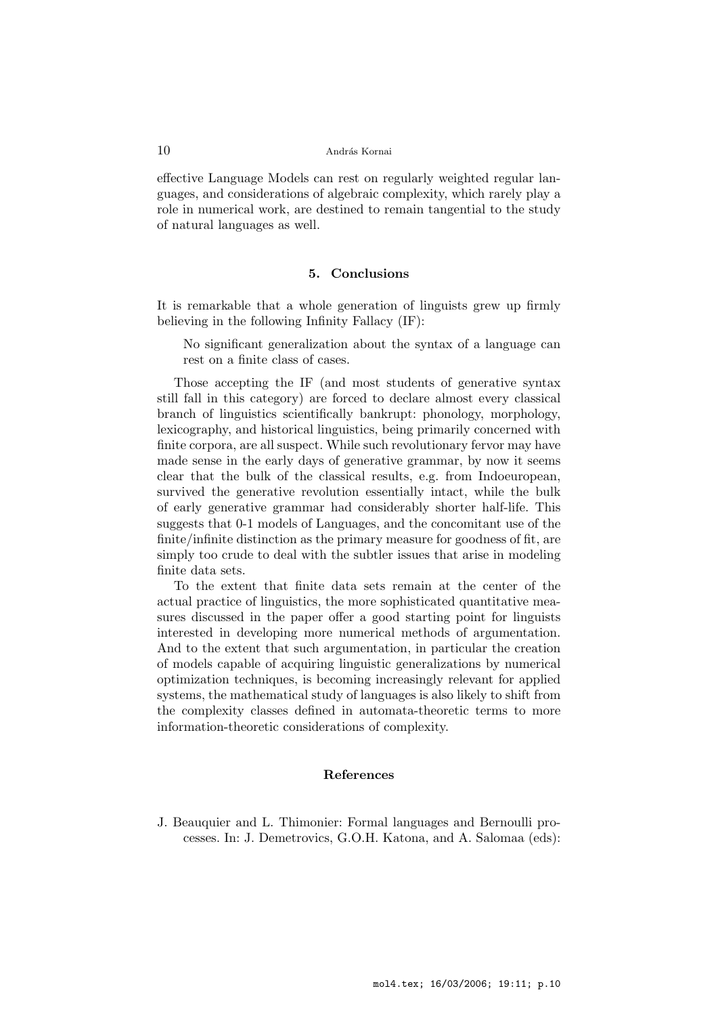effective Language Models can rest on regularly weighted regular languages, and considerations of algebraic complexity, which rarely play a role in numerical work, are destined to remain tangential to the study of natural languages as well.

## 5. Conclusions

It is remarkable that a whole generation of linguists grew up firmly believing in the following Infinity Fallacy (IF):

No significant generalization about the syntax of a language can rest on a finite class of cases.

Those accepting the IF (and most students of generative syntax still fall in this category) are forced to declare almost every classical branch of linguistics scientifically bankrupt: phonology, morphology, lexicography, and historical linguistics, being primarily concerned with finite corpora, are all suspect. While such revolutionary fervor may have made sense in the early days of generative grammar, by now it seems clear that the bulk of the classical results, e.g. from Indoeuropean, survived the generative revolution essentially intact, while the bulk of early generative grammar had considerably shorter half-life. This suggests that 0-1 models of Languages, and the concomitant use of the finite/infinite distinction as the primary measure for goodness of fit, are simply too crude to deal with the subtler issues that arise in modeling finite data sets.

To the extent that finite data sets remain at the center of the actual practice of linguistics, the more sophisticated quantitative measures discussed in the paper offer a good starting point for linguists interested in developing more numerical methods of argumentation. And to the extent that such argumentation, in particular the creation of models capable of acquiring linguistic generalizations by numerical optimization techniques, is becoming increasingly relevant for applied systems, the mathematical study of languages is also likely to shift from the complexity classes defined in automata-theoretic terms to more information-theoretic considerations of complexity.

#### References

J. Beauquier and L. Thimonier: Formal languages and Bernoulli processes. In: J. Demetrovics, G.O.H. Katona, and A. Salomaa (eds):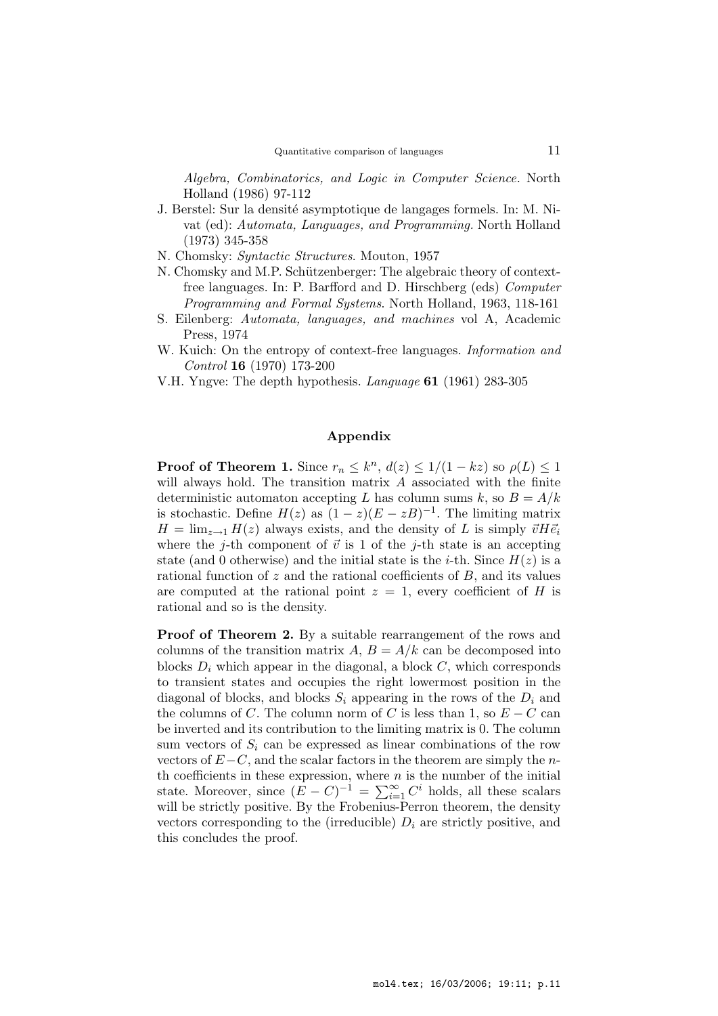Algebra, Combinatorics, and Logic in Computer Science. North Holland (1986) 97-112

- J. Berstel: Sur la densité asymptotique de langages formels. In: M. Nivat (ed): Automata, Languages, and Programming. North Holland (1973) 345-358
- N. Chomsky: Syntactic Structures. Mouton, 1957
- N. Chomsky and M.P. Schützenberger: The algebraic theory of contextfree languages. In: P. Barfford and D. Hirschberg (eds) Computer Programming and Formal Systems. North Holland, 1963, 118-161
- S. Eilenberg: Automata, languages, and machines vol A, Academic Press, 1974
- W. Kuich: On the entropy of context-free languages. *Information and* Control 16 (1970) 173-200
- V.H. Yngve: The depth hypothesis. Language 61 (1961) 283-305

# Appendix

**Proof of Theorem 1.** Since  $r_n \leq k^n$ ,  $d(z) \leq 1/(1 - kz)$  so  $\rho(L) \leq 1$ will always hold. The transition matrix A associated with the finite deterministic automaton accepting L has column sums k, so  $B = A/k$ is stochastic. Define  $H(z)$  as  $(1-z)(E-zB)^{-1}$ . The limiting matrix  $H = \lim_{z \to 1} H(z)$  always exists, and the density of L is simply  $\vec{v}H\vec{e}_i$ where the *j*-th component of  $\vec{v}$  is 1 of the *j*-th state is an accepting state (and 0 otherwise) and the initial state is the *i*-th. Since  $H(z)$  is a rational function of  $z$  and the rational coefficients of  $B$ , and its values are computed at the rational point  $z = 1$ , every coefficient of H is rational and so is the density.

**Proof of Theorem 2.** By a suitable rearrangement of the rows and columns of the transition matrix  $A, B = A/k$  can be decomposed into blocks  $D_i$  which appear in the diagonal, a block C, which corresponds to transient states and occupies the right lowermost position in the diagonal of blocks, and blocks  $S_i$  appearing in the rows of the  $D_i$  and the columns of C. The column norm of C is less than 1, so  $E - C$  can be inverted and its contribution to the limiting matrix is 0. The column sum vectors of  $S_i$  can be expressed as linear combinations of the row vectors of  $E-C$ , and the scalar factors in the theorem are simply the nth coefficients in these expression, where  $n$  is the number of the initial state. Moreover, since  $(E - C)^{-1} = \sum_{i=1}^{\infty} C^i$  holds, all these scalars will be strictly positive. By the Frobenius-Perron theorem, the density vectors corresponding to the (irreducible)  $D_i$  are strictly positive, and this concludes the proof.